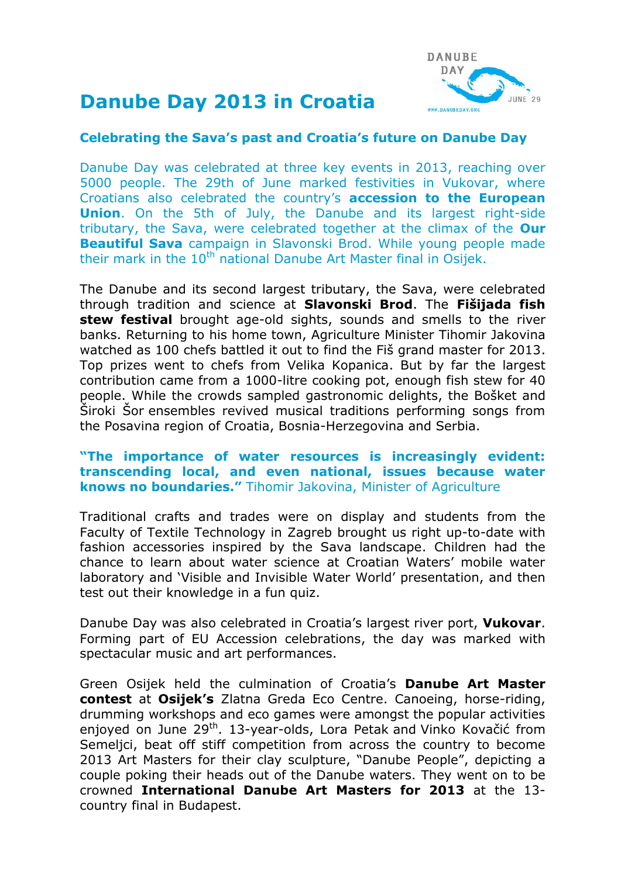# **Danube Day 2013 in Croatia**



### **Celebrating the Sava's past and Croatia's future on Danube Day**

Danube Day was celebrated at three key events in 2013, reaching over 5000 people. The 29th of June marked festivities in Vukovar, where Croatians also celebrated the country's **accession to the European Union**. On the 5th of July, the Danube and its largest right-side tributary, the Sava, were celebrated together at the climax of the **Our Beautiful Sava** campaign in Slavonski Brod. While young people made their mark in the  $10<sup>th</sup>$  national Danube Art Master final in Osijek.

The Danube and its second largest tributary, the Sava, were celebrated through tradition and science at **Slavonski Brod**. The **Fišijada fish stew festival** brought age-old sights, sounds and smells to the river banks. Returning to his home town, Agriculture Minister Tihomir Jakovina watched as 100 chefs battled it out to find the Fiš grand master for 2013. Top prizes went to chefs from Velika Kopanica. But by far the largest contribution came from a 1000-litre cooking pot, enough fish stew for 40 people. While the crowds sampled gastronomic delights, the Bošket and Široki Šor ensembles revived musical traditions performing songs from the Posavina region of Croatia, Bosnia-Herzegovina and Serbia.

#### **"The importance of water resources is increasingly evident: transcending local, and even national, issues because water knows no boundaries."** Tihomir Jakovina, Minister of Agriculture

Traditional crafts and trades were on display and students from the Faculty of Textile Technology in Zagreb brought us right up-to-date with fashion accessories inspired by the Sava landscape. Children had the chance to learn about water science at Croatian Waters' mobile water laboratory and 'Visible and Invisible Water World' presentation, and then test out their knowledge in a fun quiz.

Danube Day was also celebrated in Croatia's largest river port, **Vukovar**. Forming part of EU Accession celebrations, the day was marked with spectacular music and art performances.

Green Osijek held the culmination of Croatia's **Danube Art Master contest** at **Osijek's** Zlatna Greda Eco Centre. Canoeing, horse-riding, drumming workshops and eco games were amongst the popular activities enjoyed on June 29<sup>th</sup>. 13-year-olds, Lora Petak and Vinko Kovačić from Semeljci, beat off stiff competition from across the country to become 2013 Art Masters for their clay sculpture, "Danube People", depicting a couple poking their heads out of the Danube waters. They went on to be crowned **International Danube Art Masters for 2013** at the 13 country final in Budapest.